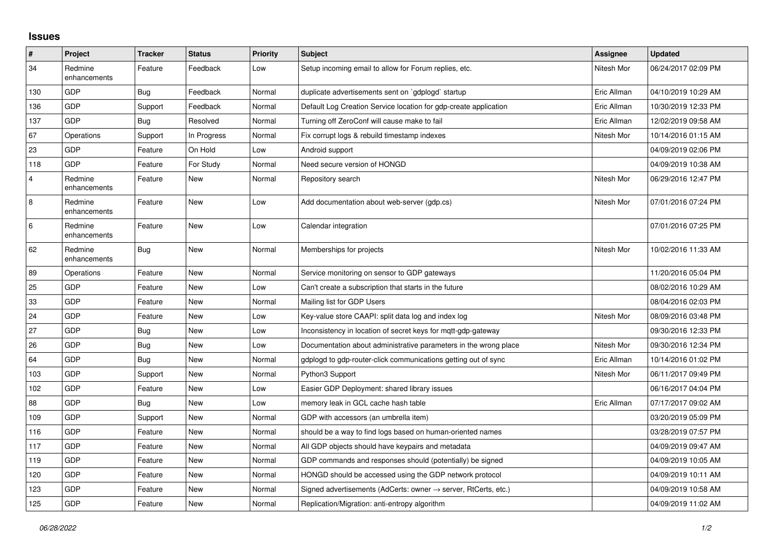## **Issues**

| $\vert$ #      | Project                 | <b>Tracker</b> | <b>Status</b> | <b>Priority</b> | <b>Subject</b>                                                   | Assignee    | <b>Updated</b>      |
|----------------|-------------------------|----------------|---------------|-----------------|------------------------------------------------------------------|-------------|---------------------|
| 34             | Redmine<br>enhancements | Feature        | Feedback      | Low             | Setup incoming email to allow for Forum replies, etc.            | Nitesh Mor  | 06/24/2017 02:09 PM |
| 130            | <b>GDP</b>              | Bug            | Feedback      | Normal          | duplicate advertisements sent on `gdplogd` startup               | Eric Allman | 04/10/2019 10:29 AM |
| 136            | <b>GDP</b>              | Support        | Feedback      | Normal          | Default Log Creation Service location for gdp-create application | Eric Allman | 10/30/2019 12:33 PM |
| 137            | GDP                     | Bug            | Resolved      | Normal          | Turning off ZeroConf will cause make to fail                     | Eric Allman | 12/02/2019 09:58 AM |
| 67             | Operations              | Support        | In Progress   | Normal          | Fix corrupt logs & rebuild timestamp indexes                     | Nitesh Mor  | 10/14/2016 01:15 AM |
| 23             | GDP                     | Feature        | On Hold       | Low             | Android support                                                  |             | 04/09/2019 02:06 PM |
| 118            | <b>GDP</b>              | Feature        | For Study     | Normal          | Need secure version of HONGD                                     |             | 04/09/2019 10:38 AM |
| $\overline{4}$ | Redmine<br>enhancements | Feature        | <b>New</b>    | Normal          | Repository search                                                | Nitesh Mor  | 06/29/2016 12:47 PM |
| $\,8\,$        | Redmine<br>enhancements | Feature        | <b>New</b>    | Low             | Add documentation about web-server (gdp.cs)                      | Nitesh Mor  | 07/01/2016 07:24 PM |
| $\,6\,$        | Redmine<br>enhancements | Feature        | <b>New</b>    | Low             | Calendar integration                                             |             | 07/01/2016 07:25 PM |
| 62             | Redmine<br>enhancements | Bug            | New           | Normal          | Memberships for projects                                         | Nitesh Mor  | 10/02/2016 11:33 AM |
| 89             | Operations              | Feature        | <b>New</b>    | Normal          | Service monitoring on sensor to GDP gateways                     |             | 11/20/2016 05:04 PM |
| 25             | GDP                     | Feature        | New           | Low             | Can't create a subscription that starts in the future            |             | 08/02/2016 10:29 AM |
| 33             | <b>GDP</b>              | Feature        | <b>New</b>    | Normal          | Mailing list for GDP Users                                       |             | 08/04/2016 02:03 PM |
| 24             | GDP                     | Feature        | <b>New</b>    | Low             | Key-value store CAAPI: split data log and index log              | Nitesh Mor  | 08/09/2016 03:48 PM |
| 27             | GDP                     | <b>Bug</b>     | <b>New</b>    | Low             | Inconsistency in location of secret keys for mqtt-gdp-gateway    |             | 09/30/2016 12:33 PM |
| 26             | <b>GDP</b>              | Bug            | <b>New</b>    | Low             | Documentation about administrative parameters in the wrong place | Nitesh Mor  | 09/30/2016 12:34 PM |
| 64             | GDP                     | Bug            | <b>New</b>    | Normal          | gdplogd to gdp-router-click communications getting out of sync   | Eric Allman | 10/14/2016 01:02 PM |
| 103            | <b>GDP</b>              | Support        | <b>New</b>    | Normal          | Python3 Support                                                  | Nitesh Mor  | 06/11/2017 09:49 PM |
| 102            | <b>GDP</b>              | Feature        | <b>New</b>    | Low             | Easier GDP Deployment: shared library issues                     |             | 06/16/2017 04:04 PM |
| 88             | GDP                     | <b>Bug</b>     | <b>New</b>    | Low             | memory leak in GCL cache hash table                              | Eric Allman | 07/17/2017 09:02 AM |
| 109            | GDP                     | Support        | <b>New</b>    | Normal          | GDP with accessors (an umbrella item)                            |             | 03/20/2019 05:09 PM |
| 116            | <b>GDP</b>              | Feature        | New           | Normal          | should be a way to find logs based on human-oriented names       |             | 03/28/2019 07:57 PM |
| 117            | GDP                     | Feature        | <b>New</b>    | Normal          | All GDP objects should have keypairs and metadata                |             | 04/09/2019 09:47 AM |
| 119            | <b>GDP</b>              | Feature        | <b>New</b>    | Normal          | GDP commands and responses should (potentially) be signed        |             | 04/09/2019 10:05 AM |
| 120            | <b>GDP</b>              | Feature        | New           | Normal          | HONGD should be accessed using the GDP network protocol          |             | 04/09/2019 10:11 AM |
| 123            | GDP                     | Feature        | <b>New</b>    | Normal          | Signed advertisements (AdCerts: owner → server, RtCerts, etc.)   |             | 04/09/2019 10:58 AM |
| 125            | GDP                     | Feature        | <b>New</b>    | Normal          | Replication/Migration: anti-entropy algorithm                    |             | 04/09/2019 11:02 AM |